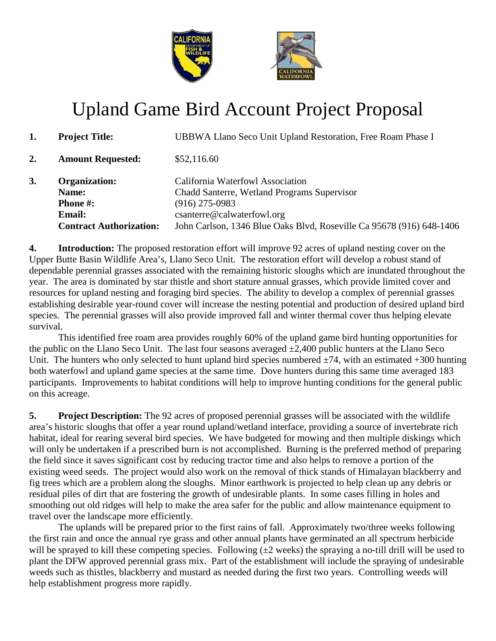

## Upland Game Bird Account Project Proposal

|    | <b>Project Title:</b>          | UBBWA Llano Seco Unit Upland Restoration, Free Roam Phase I          |
|----|--------------------------------|----------------------------------------------------------------------|
| 2. | <b>Amount Requested:</b>       | \$52,116.60                                                          |
| 3. | <b>Organization:</b>           | California Waterfowl Association                                     |
|    | Name:                          | Chadd Santerre, Wetland Programs Supervisor                          |
|    | <b>Phone #:</b>                | $(916)$ 275-0983                                                     |
|    | <b>Email:</b>                  | csanterre@calwaterfowl.org                                           |
|    | <b>Contract Authorization:</b> | John Carlson, 1346 Blue Oaks Blvd, Roseville Ca 95678 (916) 648-1406 |

**4. Introduction:** The proposed restoration effort will improve 92 acres of upland nesting cover on the Upper Butte Basin Wildlife Area's, Llano Seco Unit. The restoration effort will develop a robust stand of dependable perennial grasses associated with the remaining historic sloughs which are inundated throughout the year. The area is dominated by star thistle and short stature annual grasses, which provide limited cover and resources for upland nesting and foraging bird species. The ability to develop a complex of perennial grasses establishing desirable year-round cover will increase the nesting potential and production of desired upland bird species. The perennial grasses will also provide improved fall and winter thermal cover thus helping elevate survival.

This identified free roam area provides roughly 60% of the upland game bird hunting opportunities for the public on the Llano Seco Unit. The last four seasons averaged  $\pm 2,400$  public hunters at the Llano Seco Unit. The hunters who only selected to hunt upland bird species numbered  $\pm 74$ , with an estimated  $+300$  hunting both waterfowl and upland game species at the same time. Dove hunters during this same time averaged 183 participants. Improvements to habitat conditions will help to improve hunting conditions for the general public on this acreage.

**5. Project Description:** The 92 acres of proposed perennial grasses will be associated with the wildlife area's historic sloughs that offer a year round upland/wetland interface, providing a source of invertebrate rich habitat, ideal for rearing several bird species. We have budgeted for mowing and then multiple diskings which will only be undertaken if a prescribed burn is not accomplished. Burning is the preferred method of preparing the field since it saves significant cost by reducing tractor time and also helps to remove a portion of the existing weed seeds. The project would also work on the removal of thick stands of Himalayan blackberry and fig trees which are a problem along the sloughs. Minor earthwork is projected to help clean up any debris or residual piles of dirt that are fostering the growth of undesirable plants. In some cases filling in holes and smoothing out old ridges will help to make the area safer for the public and allow maintenance equipment to travel over the landscape more efficiently.

The uplands will be prepared prior to the first rains of fall. Approximately two/three weeks following the first rain and once the annual rye grass and other annual plants have germinated an all spectrum herbicide will be sprayed to kill these competing species. Following  $(\pm 2 \text{ weeks})$  the spraying a no-till drill will be used to plant the DFW approved perennial grass mix. Part of the establishment will include the spraying of undesirable weeds such as thistles, blackberry and mustard as needed during the first two years. Controlling weeds will help establishment progress more rapidly.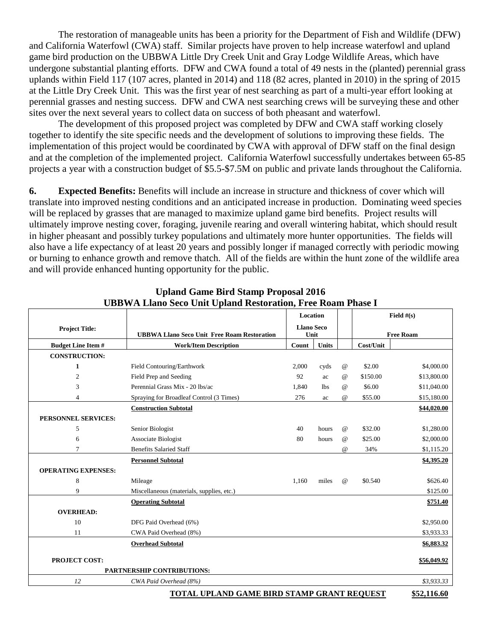The restoration of manageable units has been a priority for the Department of Fish and Wildlife (DFW) and California Waterfowl (CWA) staff. Similar projects have proven to help increase waterfowl and upland game bird production on the UBBWA Little Dry Creek Unit and Gray Lodge Wildlife Areas, which have undergone substantial planting efforts. DFW and CWA found a total of 49 nests in the (planted) perennial grass uplands within Field 117 (107 acres, planted in 2014) and 118 (82 acres, planted in 2010) in the spring of 2015 at the Little Dry Creek Unit. This was the first year of nest searching as part of a multi-year effort looking at perennial grasses and nesting success. DFW and CWA nest searching crews will be surveying these and other sites over the next several years to collect data on success of both pheasant and waterfowl.

The development of this proposed project was completed by DFW and CWA staff working closely together to identify the site specific needs and the development of solutions to improving these fields. The implementation of this project would be coordinated by CWA with approval of DFW staff on the final design and at the completion of the implemented project. California Waterfowl successfully undertakes between 65-85 projects a year with a construction budget of \$5.5-\$7.5M on public and private lands throughout the California.

**6. Expected Benefits:** Benefits will include an increase in structure and thickness of cover which will translate into improved nesting conditions and an anticipated increase in production. Dominating weed species will be replaced by grasses that are managed to maximize upland game bird benefits. Project results will ultimately improve nesting cover, foraging, juvenile rearing and overall wintering habitat, which should result in higher pheasant and possibly turkey populations and ultimately more hunter opportunities. The fields will also have a life expectancy of at least 20 years and possibly longer if managed correctly with periodic mowing or burning to enhance growth and remove thatch. All of the fields are within the hunt zone of the wildlife area and will provide enhanced hunting opportunity for the public.

|                                              |                                                    | льн ты папо эссо они органа кезгоганон, гтес коанг г назе т<br>Location<br><b>Llano Seco</b> |              |          | Field $#(s)$     |             |
|----------------------------------------------|----------------------------------------------------|----------------------------------------------------------------------------------------------|--------------|----------|------------------|-------------|
| <b>Project Title:</b>                        |                                                    |                                                                                              |              |          |                  |             |
|                                              | <b>UBBWA Llano Seco Unit Free Roam Restoration</b> |                                                                                              | Unit         |          | <b>Free Roam</b> |             |
| <b>Budget Line Item#</b>                     | <b>Work/Item Description</b>                       | Count                                                                                        | <b>Units</b> |          | Cost/Unit        |             |
| <b>CONSTRUCTION:</b>                         |                                                    |                                                                                              |              |          |                  |             |
| 1                                            | Field Contouring/Earthwork                         | 2,000                                                                                        | cyds         | $\omega$ | \$2.00           | \$4,000.00  |
| $\overline{c}$                               | Field Prep and Seeding                             | 92                                                                                           | ac           | $\omega$ | \$150.00         | \$13,800.00 |
| 3                                            | Perennial Grass Mix - 20 lbs/ac                    | 1,840                                                                                        | lbs          | $\omega$ | \$6.00           | \$11,040.00 |
| 4                                            | Spraying for Broadleaf Control (3 Times)           | 276                                                                                          | ac           | $\omega$ | \$55.00          | \$15,180.00 |
|                                              | <b>Construction Subtotal</b>                       |                                                                                              |              |          |                  | \$44,020.00 |
| PERSONNEL SERVICES:                          |                                                    |                                                                                              |              |          |                  |             |
| 5                                            | Senior Biologist                                   | 40                                                                                           | hours        | $\omega$ | \$32.00          | \$1,280.00  |
| 6                                            | Associate Biologist                                | 80                                                                                           | hours        | $\omega$ | \$25.00          | \$2,000.00  |
| 7                                            | <b>Benefits Salaried Staff</b>                     |                                                                                              |              | $\omega$ | 34%              | \$1,115.20  |
|                                              | <b>Personnel Subtotal</b>                          |                                                                                              |              |          |                  | \$4,395.20  |
| <b>OPERATING EXPENSES:</b>                   |                                                    |                                                                                              |              |          |                  |             |
| 8                                            | Mileage                                            | 1,160                                                                                        | miles        | $\omega$ | \$0.540          | \$626.40    |
| 9                                            | Miscellaneous (materials, supplies, etc.)          |                                                                                              |              |          |                  | \$125.00    |
|                                              | <b>Operating Subtotal</b>                          |                                                                                              |              |          |                  | \$751.40    |
| <b>OVERHEAD:</b>                             |                                                    |                                                                                              |              |          |                  |             |
| 10                                           | DFG Paid Overhead (6%)                             |                                                                                              |              |          |                  | \$2,950.00  |
| 11                                           | CWA Paid Overhead (8%)                             |                                                                                              |              |          |                  | \$3,933.33  |
|                                              | <b>Overhead Subtotal</b>                           |                                                                                              |              |          |                  | \$6,883.32  |
| <b>PROJECT COST:</b>                         |                                                    |                                                                                              |              |          |                  | \$56,049.92 |
| PARTNERSHIP CONTRIBUTIONS:                   |                                                    |                                                                                              |              |          |                  |             |
| 12                                           | CWA Paid Overhead (8%)                             |                                                                                              |              |          |                  | \$3,933.33  |
| TOTAL LIPLAND CAME RIPD STAMP CRANT PEOLIFST |                                                    |                                                                                              |              |          |                  | ¢57 116 60  |

**Upland Game Bird Stamp Proposal 2016 UBBWA Llano Seco Unit Upland Restoration, Free Roam Phase I**

**TOTAL UPLAND GAME BIRD STAMP GRANT REQUEST \$52,116.60**